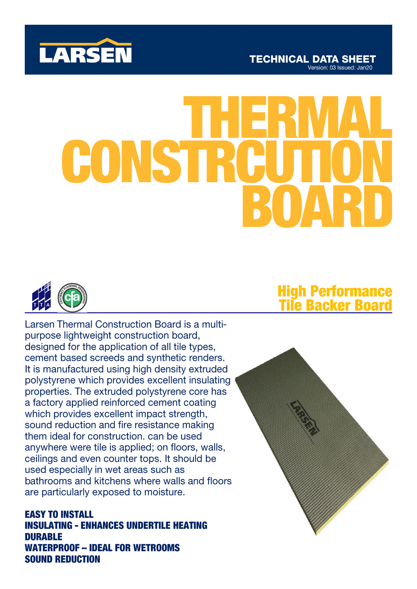

# CONSTRC



Larsen Thermal Construction Board is a multipurpose lightweight construction board, designed for the application of all tile types, cement based screeds and synthetic renders. It is manufactured using high density extruded polystyrene which provides excellent insulating properties. The extruded polystyrene core has a factory applied reinforced cement coating which provides excellent impact strength, sound reduction and fire resistance making them ideal for construction, can be used anywhere were tile is applied; on floors, walls, ceilings and even counter tops. It should be used especially in wet areas such as bathrooms and kitchens where walls and floors are particularly exposed to moisture.

**EASY TO INSTALL INSULATING - ENHANCES UNDERTILE HEATING DURABLE WATERPROOF - IDEAL FOR WETROOMS SOUND REDUCTION** 

# **High Performance<br>Tile Backer Board**

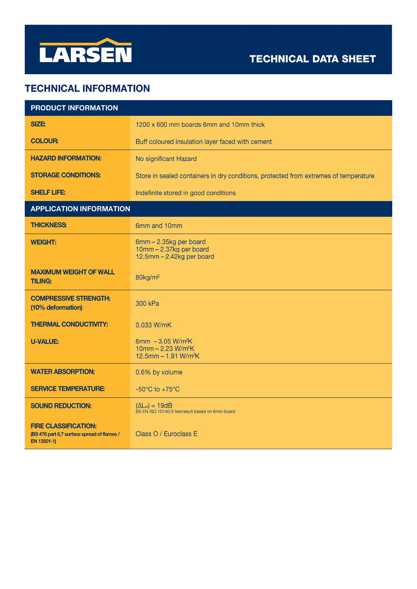

# **TECHNICAL DATA SHEET**

## **TECHNICAL INFORMATION**

| <b>PRODUCT INFORMATION</b>                                                                |                                                                                                      |  |
|-------------------------------------------------------------------------------------------|------------------------------------------------------------------------------------------------------|--|
| SIZE:                                                                                     | 1200 x 600 mm boards 6mm and 10mm thick                                                              |  |
| <b>COLOUR:</b>                                                                            | Buff coloured insulation layer faced with cement                                                     |  |
| <b>HAZARD INFORMATION:</b>                                                                | No significant Hazard                                                                                |  |
| <b>STORAGE CONDITIONS:</b>                                                                | Store in sealed containers in dry conditions, protected from extremes of temperature                 |  |
| <b>SHELF LIFE:</b>                                                                        | Indefinite stored in good conditions                                                                 |  |
| <b>APPLICATION INFORMATION</b>                                                            |                                                                                                      |  |
| <b>THICKNESS:</b>                                                                         | 6mm and 10mm                                                                                         |  |
| <b>WEIGHT:</b>                                                                            | 6mm - 2.35kg per board<br>10mm - 2.37kg per board<br>12.5mm - 2.42kg per board                       |  |
| <b>MAXIMUM WEIGHT OF WALL</b><br><b>TILING:</b>                                           | $80$ kg/m <sup>2</sup>                                                                               |  |
| <b>COMPRESSIVE STRENGTH:</b><br>(10% deformation)                                         | 300 kPa                                                                                              |  |
| <b>THERMAL CONDUCTIVITY:</b>                                                              | 0.033 W/mK                                                                                           |  |
| <b>U-VALUE:</b>                                                                           | 6mm $-3.05$ W/m <sup>2</sup> K<br>10mm - 2.23 W/m <sup>2</sup> K<br>12.5mm - 1.91 W/m <sup>2</sup> K |  |
| <b>WATER ABSORPTION:</b>                                                                  | 0.6% by volume                                                                                       |  |
| <b>SERVICE TEMPERATURE:</b>                                                               | $-50^{\circ}$ C to $+75^{\circ}$ C                                                                   |  |
| <b>SOUND REDUCTION:</b>                                                                   | $(\Delta L_w) = 19dB$<br>BS EN ISO 10140-3 test result based on 6mm board                            |  |
| <b>FIRE CLASSIFICATION:</b><br>(BS 476 part 6,7 surface spread of flames /<br>EN 13501-1) | Class O / Euroclass E                                                                                |  |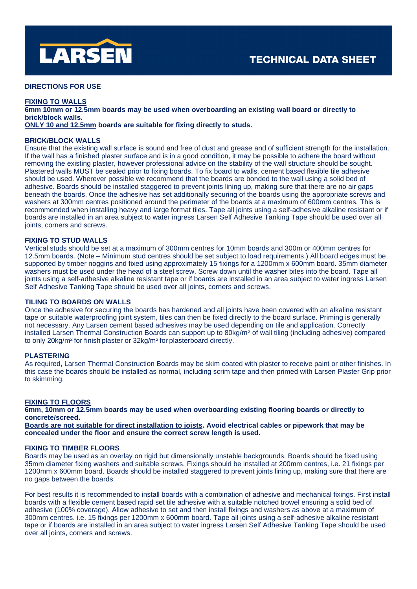

### **DIRECTIONS FOR USE**

### **FIXING TO WALLS**

**6mm 10mm or 12.5mm boards may be used when overboarding an existing wall board or directly to brick/block walls.**

**ONLY 10 and 12.5mm boards are suitable for fixing directly to studs.**

### **BRICK/BLOCK WALLS**

Ensure that the existing wall surface is sound and free of dust and grease and of sufficient strength for the installation. If the wall has a finished plaster surface and is in a good condition, it may be possible to adhere the board without removing the existing plaster, however professional advice on the stability of the wall structure should be sought. Plastered walls MUST be sealed prior to fixing boards. To fix board to walls, cement based flexible tile adhesive should be used. Wherever possible we recommend that the boards are bonded to the wall using a solid bed of adhesive. Boards should be installed staggered to prevent joints lining up, making sure that there are no air gaps beneath the boards. Once the adhesive has set additionally securing of the boards using the appropriate screws and washers at 300mm centres positioned around the perimeter of the boards at a maximum of 600mm centres. This is recommended when installing heavy and large format tiles. Tape all joints using a self-adhesive alkaline resistant or if boards are installed in an area subject to water ingress Larsen Self Adhesive Tanking Tape should be used over all joints, corners and screws.

### **FIXING TO STUD WALLS**

Vertical studs should be set at a maximum of 300mm centres for 10mm boards and 300m or 400mm centres for 12.5mm boards. (Note – Minimum stud centres should be set subject to load requirements.) All board edges must be supported by timber noggins and fixed using approximately 15 fixings for a 1200mm x 600mm board. 35mm diameter washers must be used under the head of a steel screw. Screw down until the washer bites into the board. Tape all joints using a self-adhesive alkaline resistant tape or if boards are installed in an area subject to water ingress Larsen Self Adhesive Tanking Tape should be used over all joints, corners and screws.

### **TILING TO BOARDS ON WALLS**

Once the adhesive for securing the boards has hardened and all joints have been covered with an alkaline resistant tape or suitable waterproofing joint system, tiles can then be fixed directly to the board surface. Priming is generally not necessary. Any Larsen cement based adhesives may be used depending on tile and application. Correctly installed Larsen Thermal Construction Boards can support up to 80kg/m<sup>2</sup> of wall tiling (including adhesive) compared to only 20kg/m<sup>2</sup> for finish plaster or 32kg/m<sup>2</sup> for plasterboard directly.

### **PLASTERING**

As required, Larsen Thermal Construction Boards may be skim coated with plaster to receive paint or other finishes. In this case the boards should be installed as normal, including scrim tape and then primed with Larsen Plaster Grip prior to skimming.

### **FIXING TO FLOORS**

**6mm, 10mm or 12.5mm boards may be used when overboarding existing flooring boards or directly to concrete/screed.**

**Boards are not suitable for direct installation to joists. Avoid electrical cables or pipework that may be concealed under the floor and ensure the correct screw length is used.** 

### **FIXING TO TIMBER FLOORS**

Boards may be used as an overlay on rigid but dimensionally unstable backgrounds. Boards should be fixed using 35mm diameter fixing washers and suitable screws. Fixings should be installed at 200mm centres, i.e. 21 fixings per 1200mm x 600mm board. Boards should be installed staggered to prevent joints lining up, making sure that there are no gaps between the boards.

For best results it is recommended to install boards with a combination of adhesive and mechanical fixings. First install boards with a flexible cement based rapid set tile adhesive with a suitable notched trowel ensuring a solid bed of adhesive (100% coverage). Allow adhesive to set and then install fixings and washers as above at a maximum of 300mm centres. i.e. 15 fixings per 1200mm x 600mm board. Tape all joints using a self-adhesive alkaline resistant tape or if boards are installed in an area subject to water ingress Larsen Self Adhesive Tanking Tape should be used over all joints, corners and screws.